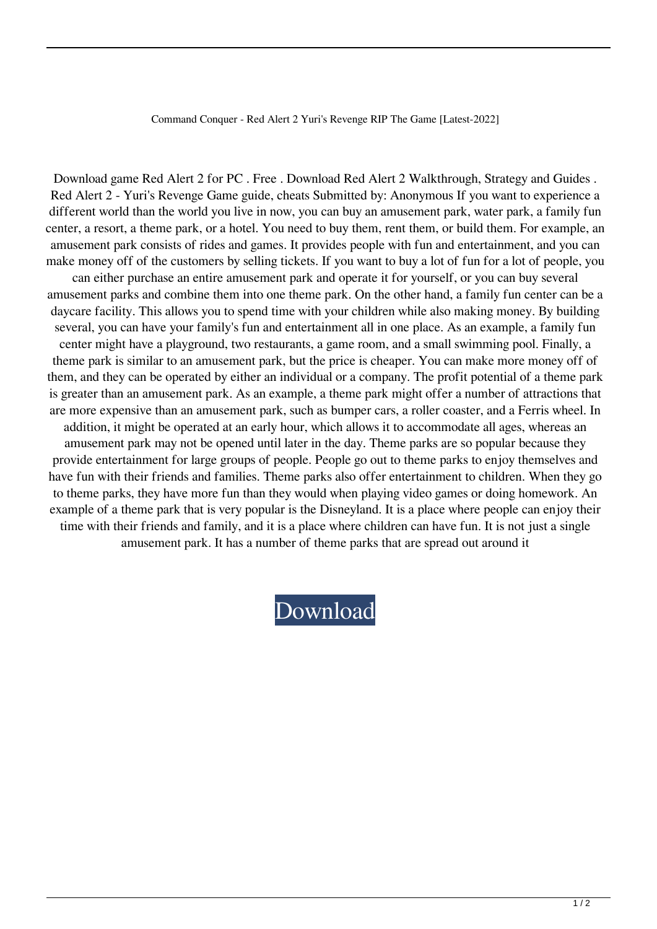Command Conquer - Red Alert 2 Yuri's Revenge RIP The Game [Latest-2022]

Download game Red Alert 2 for PC . Free . Download Red Alert 2 Walkthrough, Strategy and Guides . Red Alert 2 - Yuri's Revenge Game guide, cheats Submitted by: Anonymous If you want to experience a different world than the world you live in now, you can buy an amusement park, water park, a family fun center, a resort, a theme park, or a hotel. You need to buy them, rent them, or build them. For example, an amusement park consists of rides and games. It provides people with fun and entertainment, and you can make money off of the customers by selling tickets. If you want to buy a lot of fun for a lot of people, you can either purchase an entire amusement park and operate it for yourself, or you can buy several amusement parks and combine them into one theme park. On the other hand, a family fun center can be a daycare facility. This allows you to spend time with your children while also making money. By building several, you can have your family's fun and entertainment all in one place. As an example, a family fun center might have a playground, two restaurants, a game room, and a small swimming pool. Finally, a theme park is similar to an amusement park, but the price is cheaper. You can make more money off of them, and they can be operated by either an individual or a company. The profit potential of a theme park is greater than an amusement park. As an example, a theme park might offer a number of attractions that are more expensive than an amusement park, such as bumper cars, a roller coaster, and a Ferris wheel. In addition, it might be operated at an early hour, which allows it to accommodate all ages, whereas an amusement park may not be opened until later in the day. Theme parks are so popular because they provide entertainment for large groups of people. People go out to theme parks to enjoy themselves and have fun with their friends and families. Theme parks also offer entertainment to children. When they go to theme parks, they have more fun than they would when playing video games or doing homework. An example of a theme park that is very popular is the Disneyland. It is a place where people can enjoy their time with their friends and family, and it is a place where children can have fun. It is not just a single amusement park. It has a number of theme parks that are spread out around it

[Download](http://evacdir.com/smartdigitaltraining.budging?impulsive=obliges&ZG93bmxvYWR8WFY2TVROaFpYeDhNVFkxTWpRMk16QTFNSHg4TWpVM05IeDhLRTBwSUhKbFlXUXRZbXh2WnlCYlJtRnpkQ0JIUlU1ZA=Q29tbWFuZCBDb25xdWVyIC0gUmVkIEFsZXJ0IDIgWXVyaSdzIFJldmVuZ2UgUklQIHRoZSBnYW1lQ29?&evinrude=rummaging)